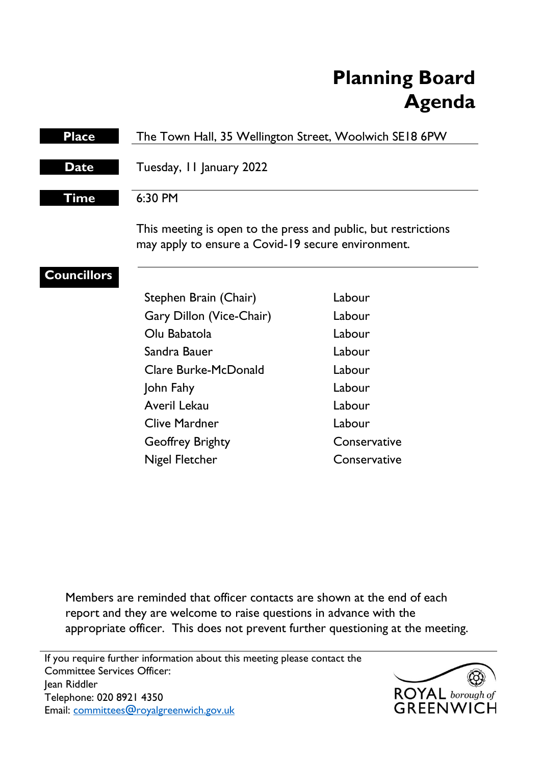# **Planning Board Agenda**

| <b>Place</b>       | The Town Hall, 35 Wellington Street, Woolwich SE18 6PW                                                               |              |
|--------------------|----------------------------------------------------------------------------------------------------------------------|--------------|
| <b>Date</b>        | Tuesday, II January 2022                                                                                             |              |
| Time               | 6:30 PM                                                                                                              |              |
|                    | This meeting is open to the press and public, but restrictions<br>may apply to ensure a Covid-19 secure environment. |              |
| <b>Councillors</b> |                                                                                                                      |              |
|                    | Stephen Brain (Chair)                                                                                                | Labour       |
|                    | Gary Dillon (Vice-Chair)                                                                                             | Labour       |
|                    | Olu Babatola                                                                                                         | Labour       |
|                    | Sandra Bauer                                                                                                         | Labour       |
|                    | Clare Burke-McDonald                                                                                                 | Labour       |
|                    | John Fahy                                                                                                            | Labour       |
|                    | Averil Lekau                                                                                                         | Labour       |
|                    | <b>Clive Mardner</b>                                                                                                 | Labour       |
|                    | <b>Geoffrey Brighty</b>                                                                                              | Conservative |

Members are reminded that officer contacts are shown at the end of each report and they are welcome to raise questions in advance with the appropriate officer. This does not prevent further questioning at the meeting.

Nigel Fletcher Conservative

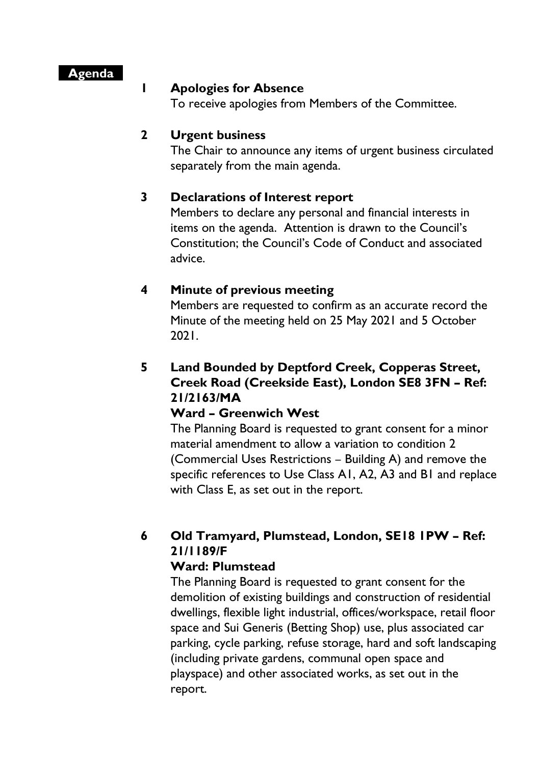### **Agenda**

#### **1 Apologies for Absence**

To receive apologies from Members of the Committee.

### **2 Urgent business**

The Chair to announce any items of urgent business circulated separately from the main agenda.

## **3 Declarations of Interest report**

Members to declare any personal and financial interests in items on the agenda. Attention is drawn to the Council's Constitution; the Council's Code of Conduct and associated advice.

## **4 Minute of previous meeting**

Members are requested to confirm as an accurate record the Minute of the meeting held on 25 May 2021 and 5 October 2021.

## **5 Land Bounded by Deptford Creek, Copperas Street, Creek Road (Creekside East), London SE8 3FN – Ref: 21/2163/MA**

## **Ward – Greenwich West**

The Planning Board is requested to grant consent for a minor material amendment to allow a variation to condition 2 (Commercial Uses Restrictions – Building A) and remove the specific references to Use Class A1, A2, A3 and B1 and replace with Class E, as set out in the report.

## **6 Old Tramyard, Plumstead, London, SE18 1PW – Ref: 21/1189/F**

### **Ward: Plumstead**

The Planning Board is requested to grant consent for the demolition of existing buildings and construction of residential dwellings, flexible light industrial, offices/workspace, retail floor space and Sui Generis (Betting Shop) use, plus associated car parking, cycle parking, refuse storage, hard and soft landscaping (including private gardens, communal open space and playspace) and other associated works, as set out in the report.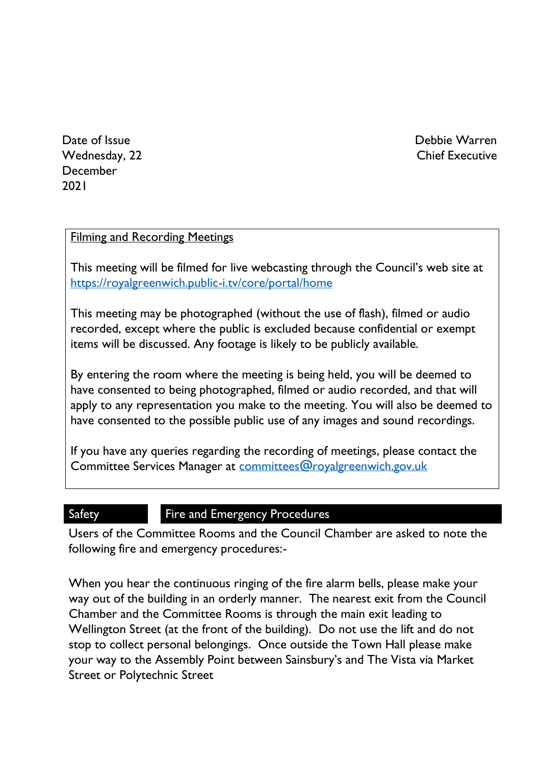Debbie Warren Chief Executive

Date of Issue Wednesday, 22 December 2021

### Filming and Recording Meetings

This meeting will be filmed for live webcasting through the Council's web site at <https://royalgreenwich.public-i.tv/core/portal/home>

This meeting may be photographed (without the use of flash), filmed or audio recorded, except where the public is excluded because confidential or exempt items will be discussed. Any footage is likely to be publicly available.

By entering the room where the meeting is being held, you will be deemed to have consented to being photographed, filmed or audio recorded, and that will apply to any representation you make to the meeting. You will also be deemed to have consented to the possible public use of any images and sound recordings.

If you have any queries regarding the recording of meetings, please contact the Committee Services Manager at [committees@royalgreenwich.gov.uk](mailto:committees@royalgreenwich.gov.uk)

## Safety **Fire and Emergency Procedures**

Users of the Committee Rooms and the Council Chamber are asked to note the following fire and emergency procedures:-

When you hear the continuous ringing of the fire alarm bells, please make your way out of the building in an orderly manner. The nearest exit from the Council Chamber and the Committee Rooms is through the main exit leading to Wellington Street (at the front of the building). Do not use the lift and do not stop to collect personal belongings. Once outside the Town Hall please make your way to the Assembly Point between Sainsbury's and The Vista via Market Street or Polytechnic Street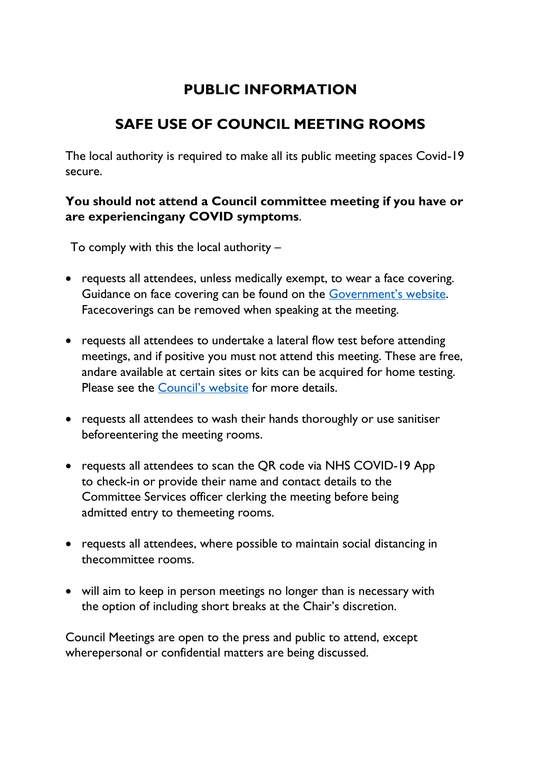## **PUBLIC INFORMATION**

## **SAFE USE OF COUNCIL MEETING ROOMS**

The local authority is required to make all its public meeting spaces Covid-19 secure.

## **You should not attend a Council committee meeting if you have or are experiencingany COVID symptoms**.

To comply with this the local authority –

- requests all attendees, unless medically exempt, to wear a face covering. Guidance on face covering can be found on the [Government's website](https://www.gov.uk/government/publications/face-coverings-when-to-wear-one-and-how-to-make-your-own/face-coverings-when-to-wear-one-and-how-to-make-your-own#when-you-do-not-need-to-wear-a-face-covering). Facecoverings can be removed when speaking at the meeting.
- requests all attendees to undertake a lateral flow test before attending meetings, and if positive you must not attend this meeting. These are free, andare available at certain sites or kits can be acquired for home testing. Please see the [Council's](https://www.royalgreenwich.gov.uk/info/200329/coronavirus/2287/covid-19_tests_for_people_without_symptoms) website for more details.
- requests all attendees to wash their hands thoroughly or use sanitiser beforeentering the meeting rooms.
- requests all attendees to scan the QR code via NHS COVID-19 App to check-in or provide their name and contact details to the Committee Services officer clerking the meeting before being admitted entry to themeeting rooms.
- requests all attendees, where possible to maintain social distancing in thecommittee rooms.
- will aim to keep in person meetings no longer than is necessary with the option of including short breaks at the Chair's discretion.

Council Meetings are open to the press and public to attend, except wherepersonal or confidential matters are being discussed.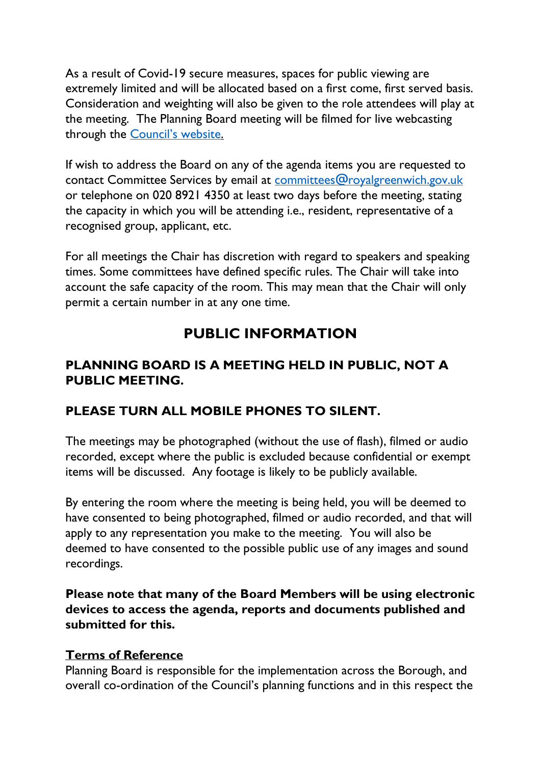As a result of Covid-19 secure measures, spaces for public viewing are extremely limited and will be allocated based on a first come, first served basis. Consideration and weighting will also be given to the role attendees will play at the meeting. The Planning Board meeting will be filmed for live webcasting through the **Council's** website.

If wish to address the Board on any of the agenda items you are requested to contact Committee Services by email at [committees@royalgreenwich.gov.uk](mailto:committees@royalgreenwich.gov.uk) or telephone on 020 8921 4350 at least two days before the meeting, stating the capacity in which you will be attending i.e., resident, representative of a recognised group, applicant, etc.

For all meetings the Chair has discretion with regard to speakers and speaking times. Some committees have defined specific rules. The Chair will take into account the safe capacity of the room. This may mean that the Chair will only permit a certain number in at any one time.

## **PUBLIC INFORMATION**

## **PLANNING BOARD IS A MEETING HELD IN PUBLIC, NOT A PUBLIC MEETING.**

## **PLEASE TURN ALL MOBILE PHONES TO SILENT.**

The meetings may be photographed (without the use of flash), filmed or audio recorded, except where the public is excluded because confidential or exempt items will be discussed. Any footage is likely to be publicly available.

By entering the room where the meeting is being held, you will be deemed to have consented to being photographed, filmed or audio recorded, and that will apply to any representation you make to the meeting. You will also be deemed to have consented to the possible public use of any images and sound recordings.

**Please note that many of the Board Members will be using electronic devices to access the agenda, reports and documents published and submitted for this.**

## **Terms of Reference**

Planning Board is responsible for the implementation across the Borough, and overall co-ordination of the Council's planning functions and in this respect the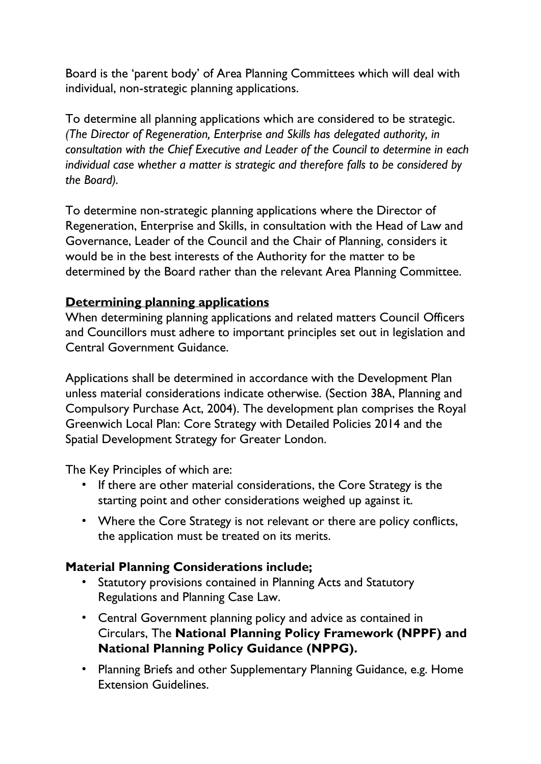Board is the 'parent body' of Area Planning Committees which will deal with individual, non-strategic planning applications.

To determine all planning applications which are considered to be strategic. *(The Director of Regeneration, Enterprise and Skills has delegated authority, in consultation with the Chief Executive and Leader of the Council to determine in each individual case whether a matter is strategic and therefore falls to be considered by the Board).* 

To determine non-strategic planning applications where the Director of Regeneration, Enterprise and Skills, in consultation with the Head of Law and Governance, Leader of the Council and the Chair of Planning, considers it would be in the best interests of the Authority for the matter to be determined by the Board rather than the relevant Area Planning Committee.

## **Determining planning applications**

When determining planning applications and related matters Council Officers and Councillors must adhere to important principles set out in legislation and Central Government Guidance.

Applications shall be determined in accordance with the Development Plan unless material considerations indicate otherwise. (Section 38A, Planning and Compulsory Purchase Act, 2004). The development plan comprises the Royal Greenwich Local Plan: Core Strategy with Detailed Policies 2014 and the Spatial Development Strategy for Greater London.

The Key Principles of which are:

- If there are other material considerations, the Core Strategy is the starting point and other considerations weighed up against it.
- Where the Core Strategy is not relevant or there are policy conflicts, the application must be treated on its merits.

## **Material Planning Considerations include;**

- Statutory provisions contained in Planning Acts and Statutory Regulations and Planning Case Law.
- Central Government planning policy and advice as contained in Circulars, The **National Planning Policy Framework (NPPF) and National Planning Policy Guidance (NPPG).**
- Planning Briefs and other Supplementary Planning Guidance, e.g. Home Extension Guidelines.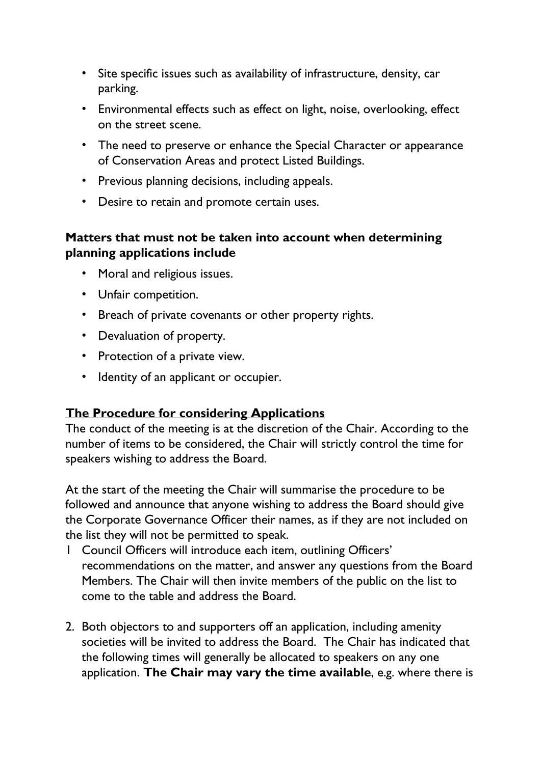- Site specific issues such as availability of infrastructure, density, car parking.
- Environmental effects such as effect on light, noise, overlooking, effect on the street scene.
- The need to preserve or enhance the Special Character or appearance of Conservation Areas and protect Listed Buildings.
- Previous planning decisions, including appeals.
- Desire to retain and promote certain uses.

## **Matters that must not be taken into account when determining planning applications include**

- Moral and religious issues.
- Unfair competition.
- Breach of private covenants or other property rights.
- Devaluation of property.
- Protection of a private view.
- Identity of an applicant or occupier.

## **The Procedure for considering Applications**

The conduct of the meeting is at the discretion of the Chair. According to the number of items to be considered, the Chair will strictly control the time for speakers wishing to address the Board.

At the start of the meeting the Chair will summarise the procedure to be followed and announce that anyone wishing to address the Board should give the Corporate Governance Officer their names, as if they are not included on the list they will not be permitted to speak.

- 1 Council Officers will introduce each item, outlining Officers' recommendations on the matter, and answer any questions from the Board Members. The Chair will then invite members of the public on the list to come to the table and address the Board.
- 2. Both objectors to and supporters off an application, including amenity societies will be invited to address the Board. The Chair has indicated that the following times will generally be allocated to speakers on any one application. **The Chair may vary the time available**, e.g. where there is